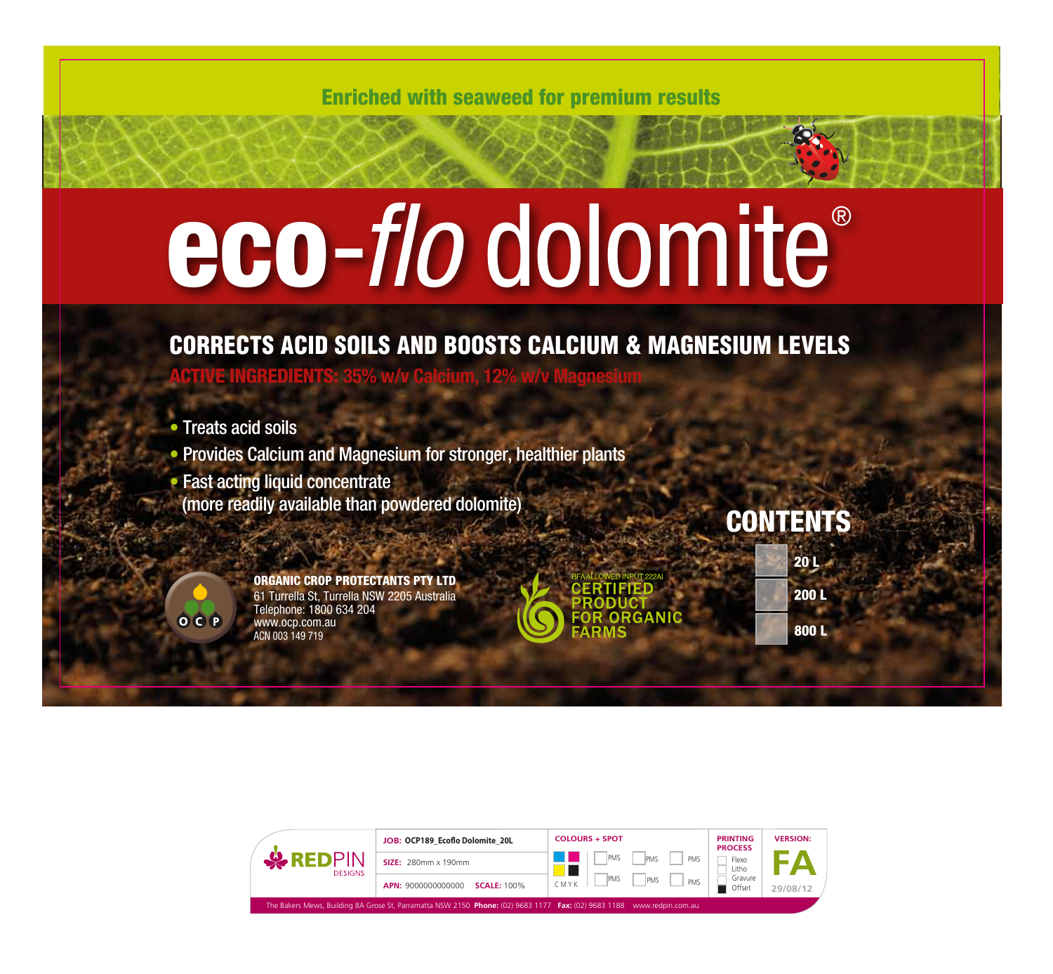Enriched with seaweed for premium results

## eco-*flo* dolomite®

CORRECTS ACID SOILS AND BOOSTS CALCIUM & MAGNESIUM LEVELS ACTIVE INGREDIENTS: **35% w/v Calcium, 12% w/v Magnesium**

• Treats acid soils

**• Provides Calcium and Magnesium for stronger, healthier plants** 

**Fast acting liquid concentrate** (more readily available than powdered dolomite)

> ORGANIC CROP PROTECTANTS PTY LTD 61 Turrella St, Turrella NSW 2205 Australia Telephone: 1800 634 204

www.ocp.com.au ACN 003 149 719

ORGANIC

## **CONTENTS**

| 20 <sub>L</sub>    |
|--------------------|
| <b>200L</b>        |
| $\overline{800}$ L |

OCP